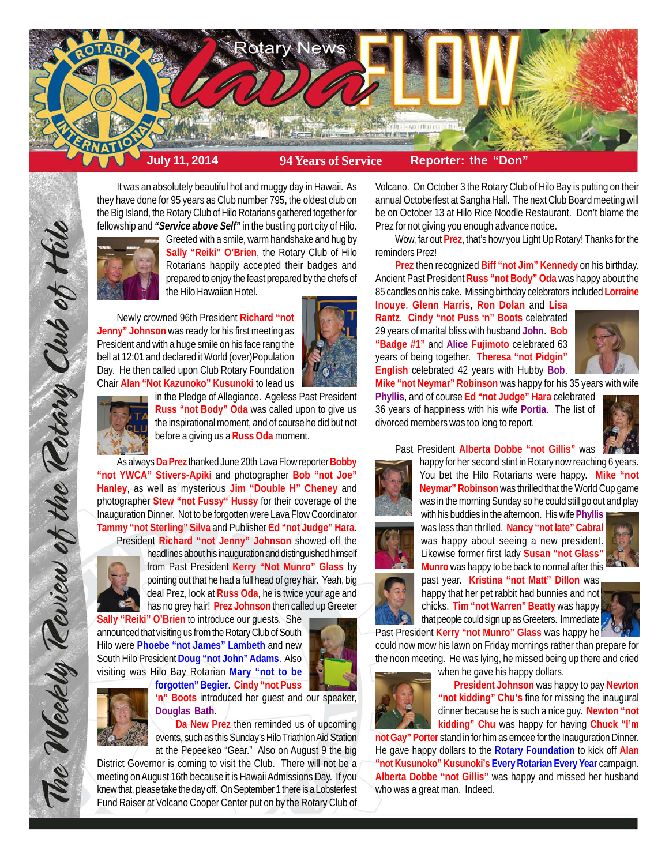

It was an absolutely beautiful hot and muggy day in Hawaii. As they have done for 95 years as Club number 795, the oldest club on the Big Island, the Rotary Club of Hilo Rotarians gathered together for fellowship and *"Service above Self"* in the bustling port city of Hilo.



Greeted with a smile, warm handshake and hug by **Sally "Reiki" O'Brien**, the Rotary Club of Hilo Rotarians happily accepted their badges and prepared to enjoy the feast prepared by the chefs of the Hilo Hawaiian Hotel.

Newly crowned 96th President **Richard "not Jenny" Johnson** was ready for his first meeting as President and with a huge smile on his face rang the bell at 12:01 and declared it World (over)Population Day. He then called upon Club Rotary Foundation Chair **Alan "Not Kazunoko" Kusunoki** to lead us





in the Pledge of Allegiance. Ageless Past President **Russ "not Body" Oda** was called upon to give us the inspirational moment, and of course he did but not before a giving us a **Russ Oda** moment.

As always **Da Prez** thanked June 20th Lava Flow reporter **Bobby "not YWCA" Stivers-Apiki** and photographer **Bob "not Joe" Hanley**, as well as mysterious **Jim "Double H" Cheney** and photographer **Stew "not Fussy" Hussy** for their coverage of the Inauguration Dinner. Not to be forgotten were Lava Flow Coordinator **Tammy "not Sterling" Silva** and Publisher **Ed "not Judge" Hara**.

President **Richard "not Jenny" Johnson** showed off the headlines about his inauguration and distinguished himself



The Weekly Review of the Rotary Club of Hilo

from Past President **Kerry "Not Munro" Glass** by pointing out that he had a full head of grey hair. Yeah, big deal Prez, look at **Russ Oda**, he is twice your age and has no grey hair! **Prez Johnson** then called up Greeter

**Sally "Reiki" O'Brien** to introduce our guests. She announced that visiting us from the Rotary Club of South Hilo were **Phoebe "not James" Lambeth** and new South Hilo President **Doug "not John" Adams**. Also visiting was Hilo Bay Rotarian **Mary "not to be**



**forgotten" Begier**. **Cindy "not Puss 'n" Boots** introduced her guest and our speaker, **Douglas Bath**.

**Da New Prez** then reminded us of upcoming events, such as this Sunday's Hilo Triathlon Aid Station at the Pepeekeo "Gear." Also on August 9 the big

District Governor is coming to visit the Club. There will not be a meeting on August 16th because it is Hawaii Admissions Day. If you knew that, please take the day off. On September 1 there is a Lobsterfest Fund Raiser at Volcano Cooper Center put on by the Rotary Club of

Volcano. On October 3 the Rotary Club of Hilo Bay is putting on their annual Octoberfest at Sangha Hall. The next Club Board meeting will be on October 13 at Hilo Rice Noodle Restaurant. Don't blame the Prez for not giving you enough advance notice.

Wow, far out **Prez**, that's how you Light Up Rotary! Thanks for the reminders Prez!

**Prez** then recognized **Biff "not Jim" Kennedy** on his birthday. Ancient Past President **Russ "not Body" Oda** was happy about the 85 candles on his cake. Missing birthday celebrators included **Lorraine**

**Inouye**, **Glenn Harris**, **Ron Dolan** and **Lisa Rantz**. **Cindy "not Puss 'n" Boots** celebrated 29 years of marital bliss with husband **John**. **Bob "Badge #1"** and **Alice Fujimoto** celebrated 63 years of being together. **Theresa "not Pidgin" English** celebrated 42 years with Hubby **Bob**.



**Mike "not Neymar" Robinson** was happy for his 35 years with wife

**Phyllis**, and of course **Ed "not Judge" Hara** celebrated 36 years of happiness with his wife **Portia**. The list of divorced members was too long to report.



Past President **Alberta Dobbe "not Gillis"** was

happy for her second stint in Rotary now reaching 6 years. You bet the Hilo Rotarians were happy. **Mike "not Neymar" Robinson** was thrilled that the World Cup game was in the morning Sunday so he could still go out and play with his buddies in the afternoon. His wife **Phyllis**

was less than thrilled. **Nancy "not late" Cabral** was happy about seeing a new president. Likewise former first lady **Susan "not Glass" Munro** was happy to be back to normal after this

past year. **Kristina "not Matt" Dillon** was happy that her pet rabbit had bunnies and not chicks. **Tim "not Warren" Beatty** was happy that people could sign up as Greeters. Immediate





Past President **Kerry "not Munro" Glass** was happy he could now mow his lawn on Friday mornings rather than prepare for the noon meeting. He was lying, he missed being up there and cried

when he gave his happy dollars.



**President Johnson** was happy to pay **Newton "not kidding" Chu's** fine for missing the inaugural dinner because he is such a nice guy. **Newton "not kidding" Chu** was happy for having **Chuck "I'm**

**not Gay" Porter** stand in for him as emcee for the Inauguration Dinner. He gave happy dollars to the **Rotary Foundation** to kick off **Alan "not Kusunoko" Kusunoki's Every Rotarian Every Year** campaign. **Alberta Dobbe "not Gillis"** was happy and missed her husband who was a great man. Indeed.